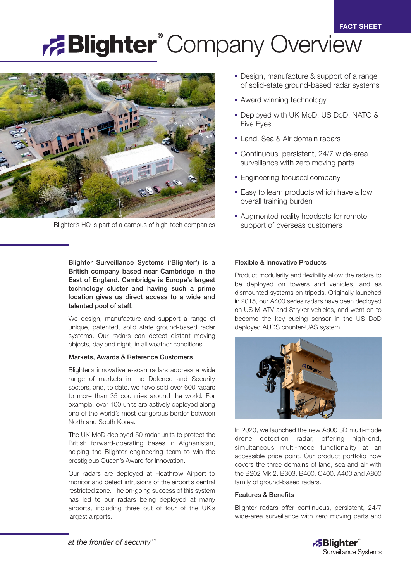# **Blighter** Company Overview



Blighter's HQ is part of a campus of high-tech companies

- Design, manufacture & support of a range of solid-state ground-based radar systems
- Award winning technology
- Deployed with UK MoD, US DoD, NATO & Five Eyes
- Land, Sea & Air domain radars
- Continuous, persistent, 24/7 wide-area surveillance with zero moving parts
- Engineering-focused company
- Easy to learn products which have a low overall training burden
- Augmented reality headsets for remote support of overseas customers

Blighter Surveillance Systems ('Blighter') is a British company based near Cambridge in the East of England. Cambridge is Europe's largest technology cluster and having such a prime location gives us direct access to a wide and talented pool of staff.

We design, manufacture and support a range of unique, patented, solid state ground-based radar systems. Our radars can detect distant moving objects, day and night, in all weather conditions.

## Markets, Awards & Reference Customers

Blighter's innovative e-scan radars address a wide range of markets in the Defence and Security sectors, and, to date, we have sold over 600 radars to more than 35 countries around the world. For example, over 100 units are actively deployed along one of the world's most dangerous border between North and South Korea.

The UK MoD deployed 50 radar units to protect the British forward-operating bases in Afghanistan, helping the Blighter engineering team to win the prestigious Queen's Award for Innovation.

Our radars are deployed at Heathrow Airport to monitor and detect intrusions of the airport's central restricted zone. The on-going success of this system has led to our radars being deployed at many airports, including three out of four of the UK's largest airports.

# Flexible & Innovative Products

Product modularity and flexibility allow the radars to be deployed on towers and vehicles, and as dismounted systems on tripods. Originally launched in 2015, our A400 series radars have been deployed on US M-ATV and Stryker vehicles, and went on to become the key cueing sensor in the US DoD deployed AUDS counter-UAS system.



In 2020, we launched the new A800 3D multi-mode drone detection radar, offering high-end, simultaneous multi-mode functionality at an accessible price point. Our product portfolio now covers the three domains of land, sea and air with the B202 Mk 2, B303, B400, C400, A400 and A800 family of ground-based radars.

## Features & Benefits

Blighter radars offer continuous, persistent, 24/7 wide-area surveillance with zero moving parts and